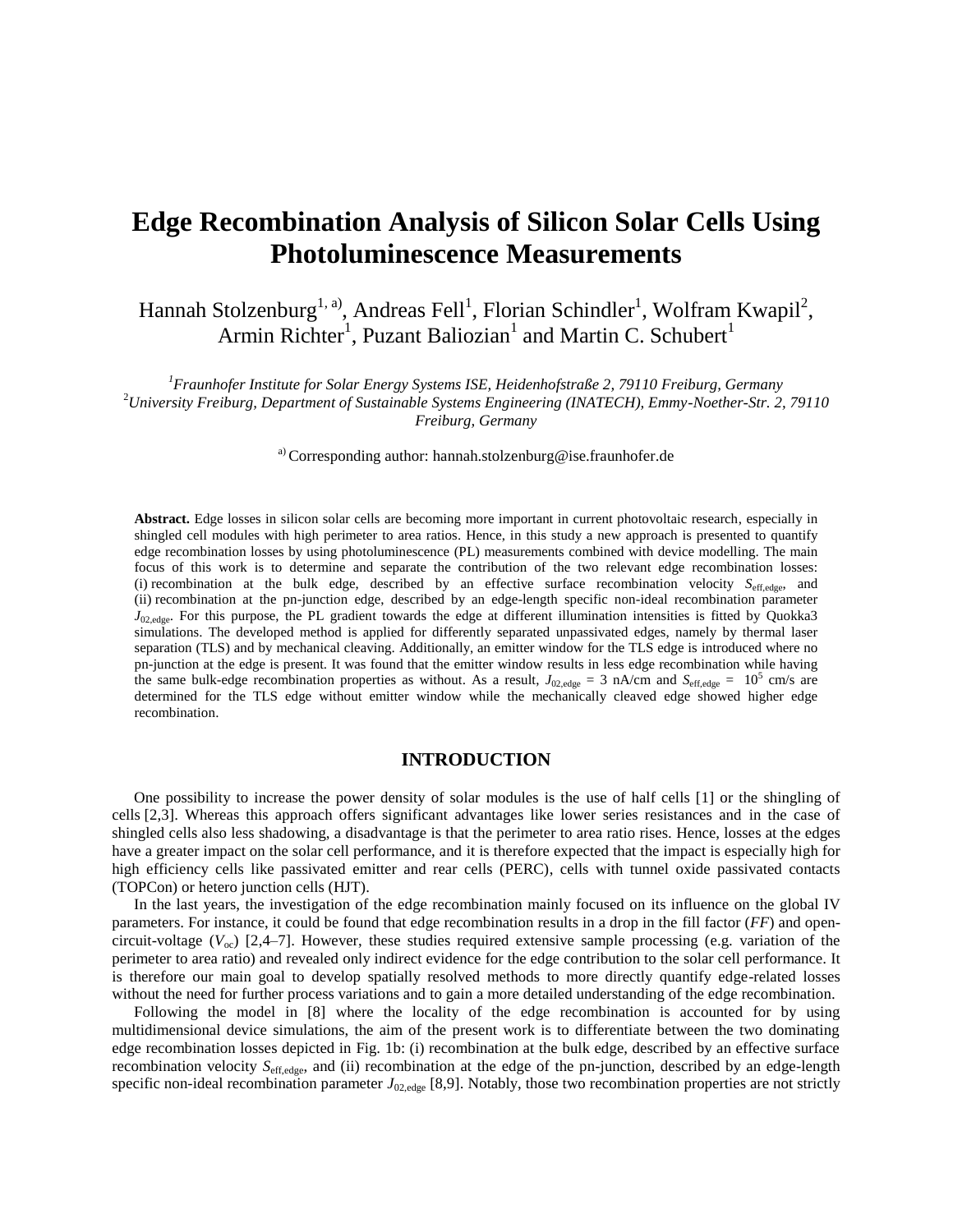# **Edge Recombination Analysis of Silicon Solar Cells Using Photoluminescence Measurements**

Hannah Stolzenburg<sup>1, a)</sup>, Andreas Fell<sup>1</sup>, Florian Schindler<sup>1</sup>, Wolfram Kwapil<sup>2</sup>, Armin Richter<sup>1</sup>, Puzant Baliozian<sup>1</sup> and Martin C. Schubert<sup>1</sup>

*<sup>1</sup>Fraunhofer Institute for Solar Energy Systems ISE, Heidenhofstraße 2, 79110 Freiburg, Germany* <sup>2</sup>*University Freiburg, Department of Sustainable Systems Engineering (INATECH), Emmy-Noether-Str. 2, 79110 Freiburg, Germany*

<sup>a)</sup> Corresponding author: hannah.stolzenburg@ise.fraunhofer.de

**Abstract.** Edge losses in silicon solar cells are becoming more important in current photovoltaic research, especially in shingled cell modules with high perimeter to area ratios. Hence, in this study a new approach is presented to quantify edge recombination losses by using photoluminescence (PL) measurements combined with device modelling. The main focus of this work is to determine and separate the contribution of the two relevant edge recombination losses: (i) recombination at the bulk edge, described by an effective surface recombination velocity  $S_{\text{eff,edge}}$ , and (ii) recombination at the pn-junction edge, described by an edge-length specific non-ideal recombination parameter *J*<sub>02,edge</sub>. For this purpose, the PL gradient towards the edge at different illumination intensities is fitted by Quokka3 simulations. The developed method is applied for differently separated unpassivated edges, namely by thermal laser separation (TLS) and by mechanical cleaving. Additionally, an emitter window for the TLS edge is introduced where no pn-junction at the edge is present. It was found that the emitter window results in less edge recombination while having the same bulk-edge recombination properties as without. As a result,  $J_{02,\text{edge}} = 3 \text{ nA/cm}$  and  $S_{\text{eff,edge}} = 10^5 \text{ cm/s}$  are determined for the TLS edge without emitter window while the mechanically cleaved edge showed higher edge recombination.

#### **INTRODUCTION**

One possibility to increase the power density of solar modules is the use of half cells [1] or the shingling of cells [2,3]. Whereas this approach offers significant advantages like lower series resistances and in the case of shingled cells also less shadowing, a disadvantage is that the perimeter to area ratio rises. Hence, losses at the edges have a greater impact on the solar cell performance, and it is therefore expected that the impact is especially high for high efficiency cells like passivated emitter and rear cells (PERC), cells with tunnel oxide passivated contacts (TOPCon) or hetero junction cells (HJT).

In the last years, the investigation of the edge recombination mainly focused on its influence on the global IV parameters. For instance, it could be found that edge recombination results in a drop in the fill factor (*FF*) and opencircuit-voltage (*V*oc) [2,4–7]. However, these studies required extensive sample processing (e.g. variation of the perimeter to area ratio) and revealed only indirect evidence for the edge contribution to the solar cell performance. It is therefore our main goal to develop spatially resolved methods to more directly quantify edge-related losses without the need for further process variations and to gain a more detailed understanding of the edge recombination.

Following the model in [8] where the locality of the edge recombination is accounted for by using multidimensional device simulations, the aim of the present work is to differentiate between the two dominating edge recombination losses depicted in Fig. 1b: (i) recombination at the bulk edge, described by an effective surface recombination velocity *S*eff,edge, and (ii) recombination at the edge of the pn-junction, described by an edge-length specific non-ideal recombination parameter  $J_{02,\text{edge}}$  [8,9]. Notably, those two recombination properties are not strictly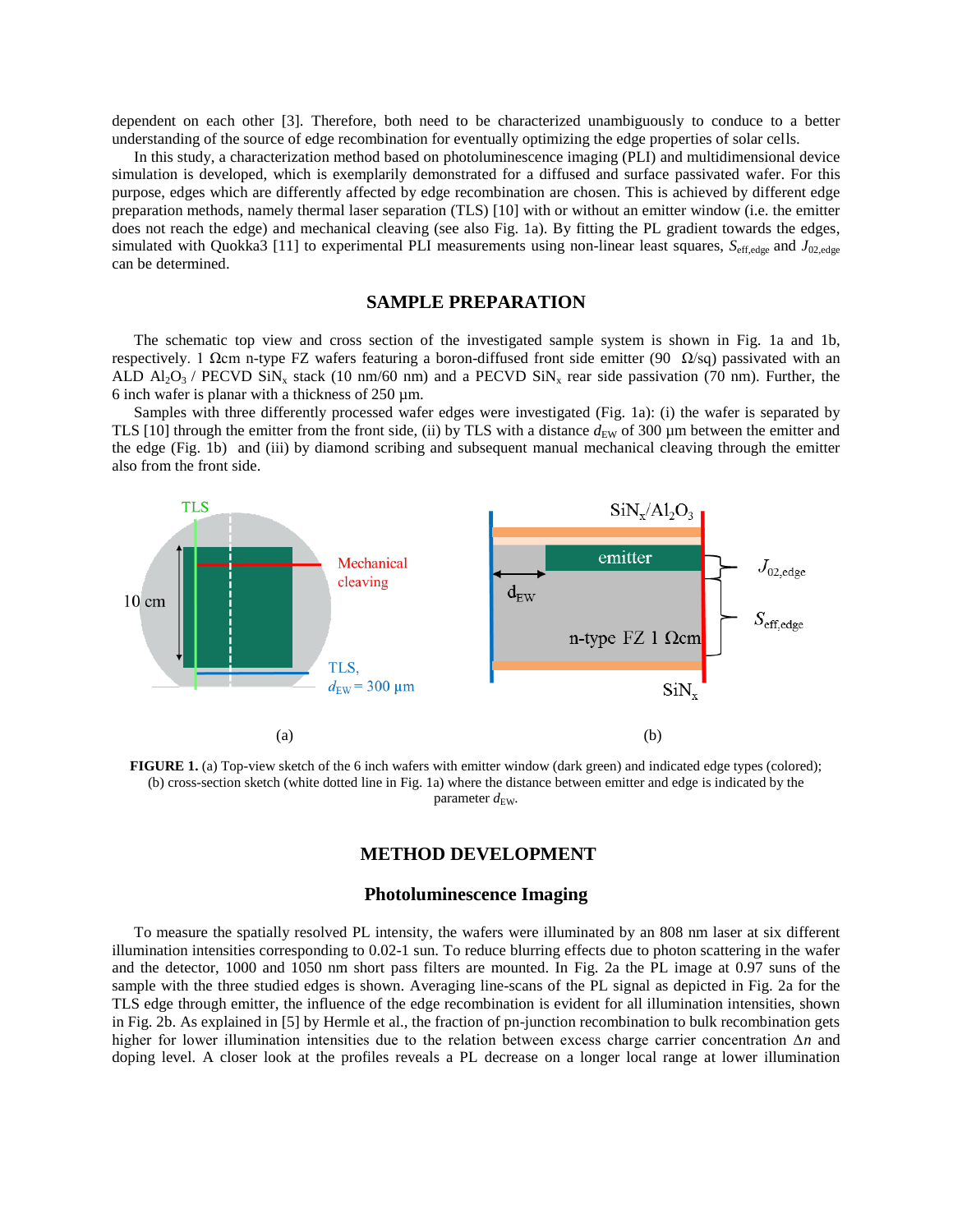dependent on each other [3]. Therefore, both need to be characterized unambiguously to conduce to a better understanding of the source of edge recombination for eventually optimizing the edge properties of solar cells.

In this study, a characterization method based on photoluminescence imaging (PLI) and multidimensional device simulation is developed, which is exemplarily demonstrated for a diffused and surface passivated wafer. For this purpose, edges which are differently affected by edge recombination are chosen. This is achieved by different edge preparation methods, namely thermal laser separation (TLS) [10] with or without an emitter window (i.e. the emitter does not reach the edge) and mechanical cleaving (see also Fig. 1a). By fitting the PL gradient towards the edges, simulated with Quokka3 [11] to experimental PLI measurements using non-linear least squares,  $S_{\text{eff,edge}}$  and  $J_{02,\text{edge}}$ can be determined.

# **SAMPLE PREPARATION**

The schematic top view and cross section of the investigated sample system is shown in Fig. 1a and 1b, respectively. 1 Ωcm n-type FZ wafers featuring a boron-diffused front side emitter (90  $\Omega$ /sq) passivated with an ALD  $\text{Al}_2\text{O}_3$  / PECVD SiN<sub>x</sub> stack (10 nm/60 nm) and a PECVD SiN<sub>x</sub> rear side passivation (70 nm). Further, the 6 inch wafer is planar with a thickness of  $250 \mu m$ .

Samples with three differently processed wafer edges were investigated (Fig. 1a): (i) the wafer is separated by TLS [10] through the emitter from the front side, (ii) by TLS with a distance  $d_{EW}$  of 300 µm between the emitter and the edge (Fig. 1b) and (iii) by diamond scribing and subsequent manual mechanical cleaving through the emitter also from the front side.



**FIGURE 1.** (a) Top-view sketch of the 6 inch wafers with emitter window (dark green) and indicated edge types (colored); (b) cross-section sketch (white dotted line in Fig. 1a) where the distance between emitter and edge is indicated by the parameter  $d_{\text{EW}}$ .

#### **METHOD DEVELOPMENT**

#### **Photoluminescence Imaging**

To measure the spatially resolved PL intensity, the wafers were illuminated by an 808 nm laser at six different illumination intensities corresponding to 0.02-1 sun. To reduce blurring effects due to photon scattering in the wafer and the detector, 1000 and 1050 nm short pass filters are mounted. In Fig. 2a the PL image at 0.97 suns of the sample with the three studied edges is shown. Averaging line-scans of the PL signal as depicted in Fig. 2a for the TLS edge through emitter, the influence of the edge recombination is evident for all illumination intensities, shown in Fig. 2b. As explained in [5] by Hermle et al., the fraction of pn-junction recombination to bulk recombination gets higher for lower illumination intensities due to the relation between excess charge carrier concentration Δ*n* and doping level. A closer look at the profiles reveals a PL decrease on a longer local range at lower illumination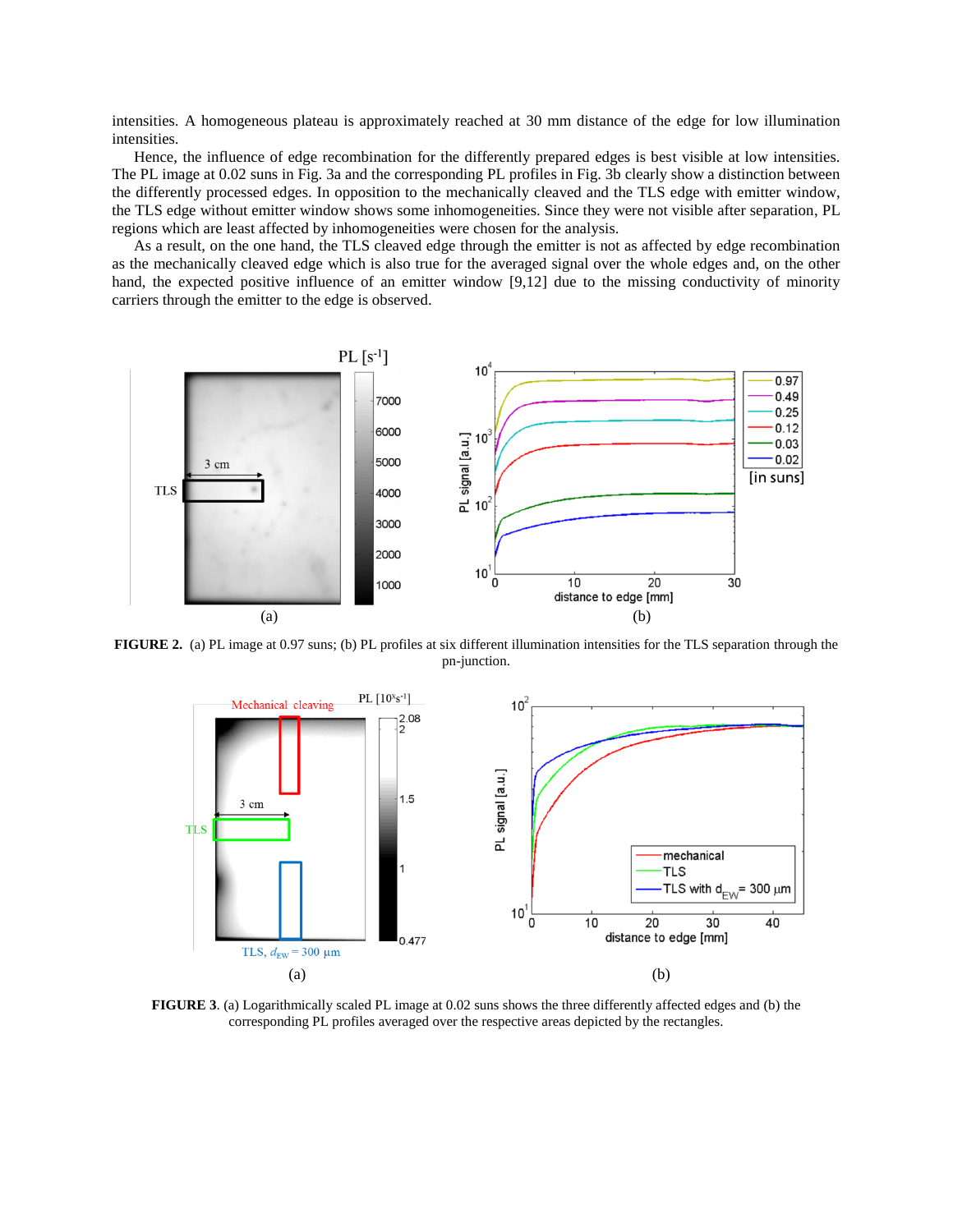intensities. A homogeneous plateau is approximately reached at 30 mm distance of the edge for low illumination intensities.

Hence, the influence of edge recombination for the differently prepared edges is best visible at low intensities. The PL image at 0.02 suns in Fig. 3a and the corresponding PL profiles in Fig. 3b clearly show a distinction between the differently processed edges. In opposition to the mechanically cleaved and the TLS edge with emitter window, the TLS edge without emitter window shows some inhomogeneities. Since they were not visible after separation, PL regions which are least affected by inhomogeneities were chosen for the analysis.

As a result, on the one hand, the TLS cleaved edge through the emitter is not as affected by edge recombination as the mechanically cleaved edge which is also true for the averaged signal over the whole edges and, on the other hand, the expected positive influence of an emitter window [9,12] due to the missing conductivity of minority carriers through the emitter to the edge is observed.



**FIGURE 2.** (a) PL image at 0.97 suns; (b) PL profiles at six different illumination intensities for the TLS separation through the pn-junction.



**FIGURE 3**. (a) Logarithmically scaled PL image at 0.02 suns shows the three differently affected edges and (b) the corresponding PL profiles averaged over the respective areas depicted by the rectangles.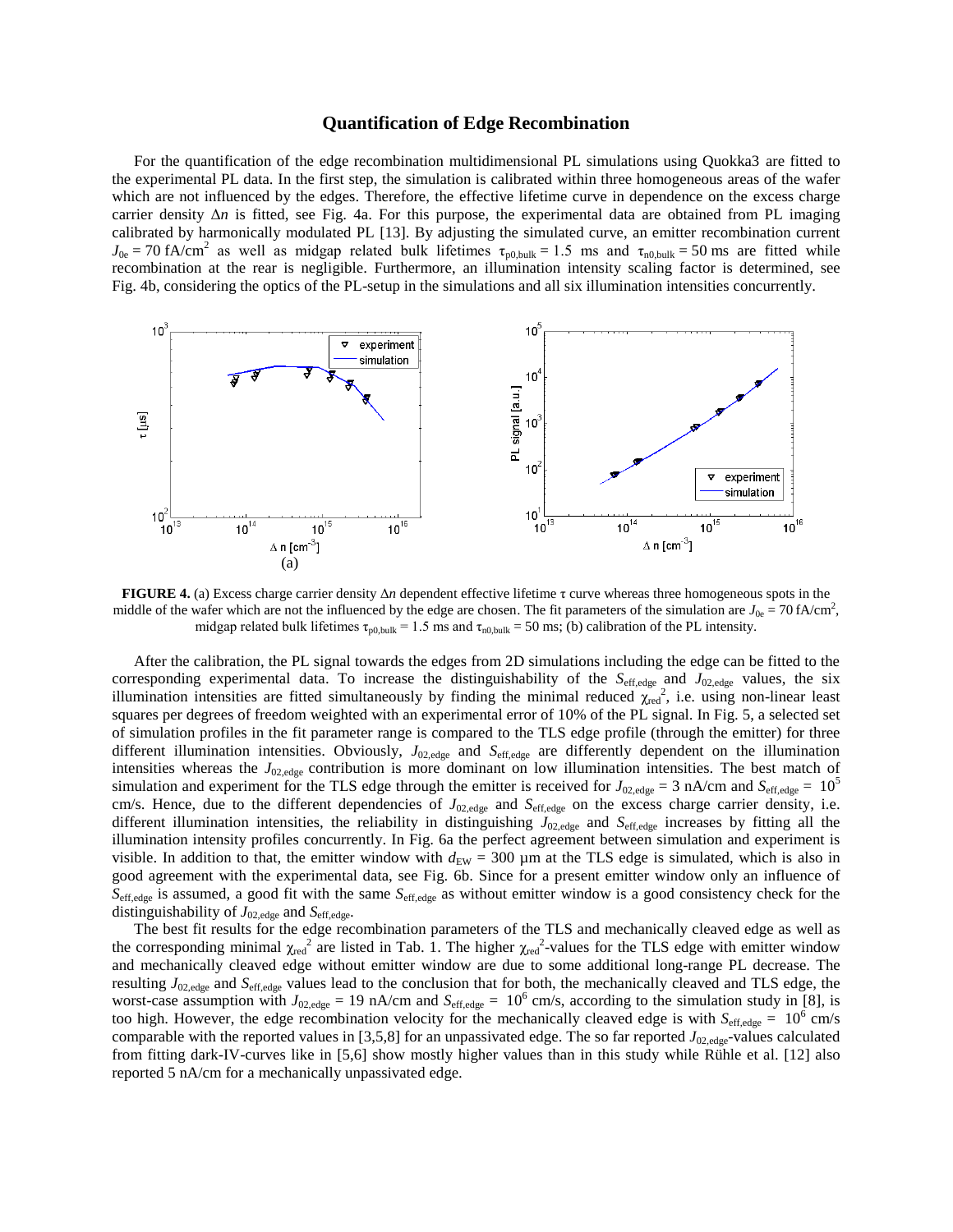#### **Quantification of Edge Recombination**

For the quantification of the edge recombination multidimensional PL simulations using Quokka3 are fitted to the experimental PL data. In the first step, the simulation is calibrated within three homogeneous areas of the wafer which are not influenced by the edges. Therefore, the effective lifetime curve in dependence on the excess charge carrier density  $\Delta n$  is fitted, see Fig. 4a. For this purpose, the experimental data are obtained from PL imaging calibrated by harmonically modulated PL [13]. By adjusting the simulated curve, an emitter recombination current  $J_{0e} = 70$  fA/cm<sup>2</sup> as well as midgap related bulk lifetimes  $\tau_{p0,bulk} = 1.5$  ms and  $\tau_{n0,bulk} = 50$  ms are fitted while recombination at the rear is negligible. Furthermore, an illumination intensity scaling factor is determined, see Fig. 4b, considering the optics of the PL-setup in the simulations and all six illumination intensities concurrently.



**FIGURE 4.** (a) Excess charge carrier density Δ*n* dependent effective lifetime τ curve whereas three homogeneous spots in the middle of the wafer which are not the influenced by the edge are chosen. The fit parameters of the simulation are  $J_{0e} = 70$  fA/cm<sup>2</sup>, midgap related bulk lifetimes  $\tau_{p0,bulk} = 1.5$  ms and  $\tau_{n0,bulk} = 50$  ms; (b) calibration of the PL intensity.

After the calibration, the PL signal towards the edges from 2D simulations including the edge can be fitted to the corresponding experimental data. To increase the distinguishability of the *S*<sub>eff,edge</sub> and *J*<sub>02,edge</sub> values, the six illumination intensities are fitted simultaneously by finding the minimal reduced  $\chi_{\text{red}}^2$ , i.e. using non-linear least squares per degrees of freedom weighted with an experimental error of 10% of the PL signal. In Fig. 5, a selected set of simulation profiles in the fit parameter range is compared to the TLS edge profile (through the emitter) for three different illumination intensities. Obviously, *J*02,edge and *S*eff,edge are differently dependent on the illumination intensities whereas the *J*<sub>02,edge</sub> contribution is more dominant on low illumination intensities. The best match of simulation and experiment for the TLS edge through the emitter is received for  $J_{02,\text{edge}} = 3 \text{ nA/cm}$  and  $S_{\text{eff,edge}} = 10^5$ cm/s. Hence, due to the different dependencies of  $J_{02,\text{edge}}$  and  $S_{\text{eff,edge}}$  on the excess charge carrier density, i.e. different illumination intensities, the reliability in distinguishing  $J_{02,\text{edge}}$  and  $S_{\text{eff,edge}}$  increases by fitting all the illumination intensity profiles concurrently. In Fig. 6a the perfect agreement between simulation and experiment is visible. In addition to that, the emitter window with  $d_{EW} = 300 \mu m$  at the TLS edge is simulated, which is also in good agreement with the experimental data, see Fig. 6b. Since for a present emitter window only an influence of *S*eff,edge is assumed, a good fit with the same *S*eff,edge as without emitter window is a good consistency check for the distinguishability of  $J_{02,\text{edge}}$  and  $S_{\text{eff,edge}}$ .

The best fit results for the edge recombination parameters of the TLS and mechanically cleaved edge as well as the corresponding minimal  $\chi_{\rm red}^2$  are listed in Tab. 1. The higher  $\chi_{\rm red}^2$ -values for the TLS edge with emitter window and mechanically cleaved edge without emitter window are due to some additional long-range PL decrease. The resulting *J*02,edge and *S*eff,edge values lead to the conclusion that for both, the mechanically cleaved and TLS edge, the worst-case assumption with  $J_{02,\text{edge}} = 19$  nA/cm and  $S_{\text{eff,edge}} = 10^6$  cm/s, according to the simulation study in [8], is too high. However, the edge recombination velocity for the mechanically cleaved edge is with  $S_{\text{eff,edge}} = 10^6$  cm/s comparable with the reported values in [3,5,8] for an unpassivated edge. The so far reported  $J_{02,\text{edge}}$ -values calculated from fitting dark-IV-curves like in [5,6] show mostly higher values than in this study while Rühle et al. [12] also reported 5 nA/cm for a mechanically unpassivated edge.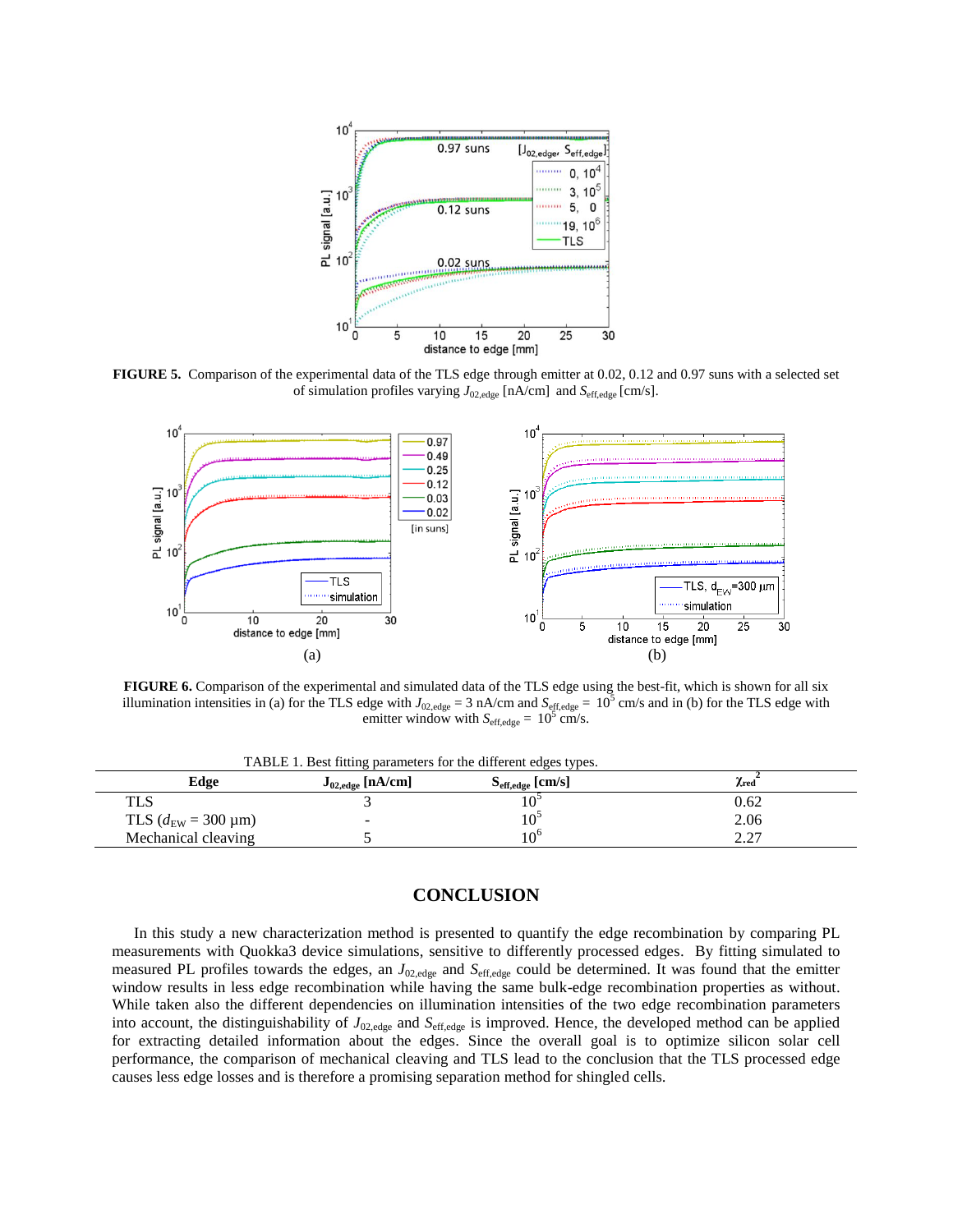

**FIGURE 5.** Comparison of the experimental data of the TLS edge through emitter at 0.02, 0.12 and 0.97 suns with a selected set of simulation profiles varying *J*02,edge [nA/cm] and *S*eff,edge [cm/s].



**FIGURE 6.** Comparison of the experimental and simulated data of the TLS edge using the best-fit, which is shown for all six illumination intensities in (a) for the TLS edge with  $J_{02,\text{edge}} = 3 \text{ nA/cm}$  and  $S_{\text{eff,edge}} = 10^5 \text{ cm/s}$  and in (b) for the TLS edge with emitter window with  $S_{\text{eff,edge}} = 10^5$  cm/s.

TABLE 1. Best fitting parameters for the different edges types.

| Edge                                     | ັ້<br>$J_{02,\text{edge}}$ [nA/cm] | $S_{\text{eff,edge}}$ [cm/s] | $\chi_{\rm red}$ |
|------------------------------------------|------------------------------------|------------------------------|------------------|
| <b>TLS</b>                               |                                    |                              | 0.62             |
| TLS $(d_{EW} = 300 \text{ }\mu\text{m})$ | -                                  | $10-$                        | 2.06             |
| Mechanical cleaving                      |                                    | $10^{\circ}$                 | ר ה<br>,,,,      |

# **CONCLUSION**

In this study a new characterization method is presented to quantify the edge recombination by comparing PL measurements with Quokka3 device simulations, sensitive to differently processed edges. By fitting simulated to measured PL profiles towards the edges, an *J*02,edge and *S*eff,edge could be determined. It was found that the emitter window results in less edge recombination while having the same bulk-edge recombination properties as without. While taken also the different dependencies on illumination intensities of the two edge recombination parameters into account, the distinguishability of  $J_{02,\text{edge}}$  and  $S_{\text{eff,edge}}$  is improved. Hence, the developed method can be applied for extracting detailed information about the edges. Since the overall goal is to optimize silicon solar cell performance, the comparison of mechanical cleaving and TLS lead to the conclusion that the TLS processed edge causes less edge losses and is therefore a promising separation method for shingled cells.